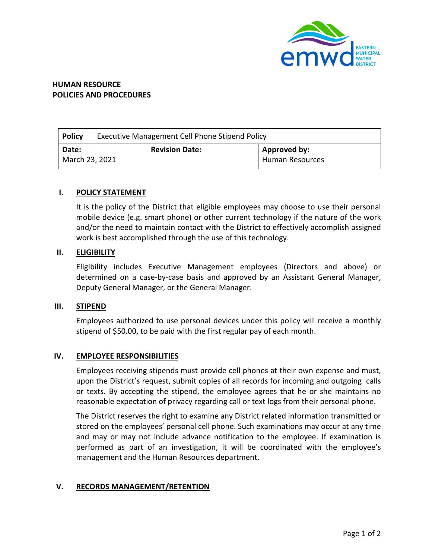

# **HUMAN RESOURCE POLICIES AND PROCEDURES**

| <b>Policy</b>           | Executive Management Cell Phone Stipend Policy |                       |                                        |
|-------------------------|------------------------------------------------|-----------------------|----------------------------------------|
| Date:<br>March 23, 2021 |                                                | <b>Revision Date:</b> | Approved by:<br><b>Human Resources</b> |

## **I. POLICY STATEMENT**

It is the policy of the District that eligible employees may choose to use their personal mobile device (e.g. smart phone) or other current technology if the nature of the work and/or the need to maintain contact with the District to effectively accomplish assigned work is best accomplished through the use of this technology.

### **II. ELIGIBILITY**

Eligibility includes Executive Management employees (Directors and above) or determined on a case-by-case basis and approved by an Assistant General Manager, Deputy General Manager, or the General Manager.

### **III. STIPEND**

Employees authorized to use personal devices under this policy will receive a monthly stipend of \$50.00, to be paid with the first regular pay of each month.

## **IV. EMPLOYEE RESPONSIBILITIES**

Employees receiving stipends must provide cell phones at their own expense and must, upon the District's request, submit copies of all records for incoming and outgoing calls or texts. By accepting the stipend, the employee agrees that he or she maintains no reasonable expectation of privacy regarding call or text logs from their personal phone.

The District reserves the right to examine any District related information transmitted or stored on the employees' personal cell phone. Such examinations may occur at any time and may or may not include advance notification to the employee. If examination is performed as part of an investigation, it will be coordinated with the employee's management and the Human Resources department.

## **V. RECORDS MANAGEMENT/RETENTION**